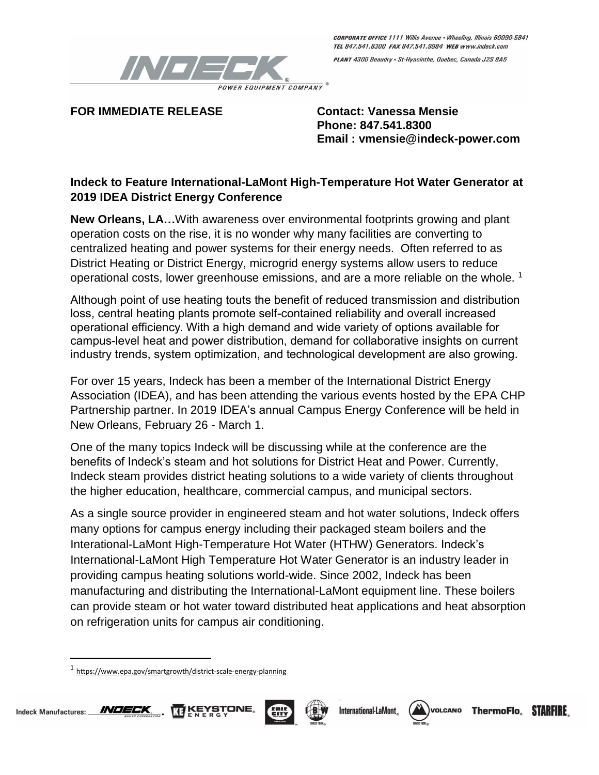

PLANT 4300 Beaudry · St-Hyacinthe, Quebec, Canada J2S 8A5

**FOR IMMEDIATE RELEASE Contact: Vanessa Mensie**

**Phone: 847.541.8300 Email : vmensie@indeck-power.com**

## **Indeck to Feature International-LaMont High-Temperature Hot Water Generator at 2019 IDEA District Energy Conference**

**New Orleans, LA…**With awareness over environmental footprints growing and plant operation costs on the rise, it is no wonder why many facilities are converting to centralized heating and power systems for their energy needs. Often referred to as District Heating or District Energy, microgrid energy systems allow users to reduce operational costs, lower greenhouse emissions, and are a more reliable on the whole. <sup>1</sup>

Although point of use heating touts the benefit of reduced transmission and distribution loss, central heating plants promote self-contained reliability and overall increased operational efficiency. With a high demand and wide variety of options available for campus-level heat and power distribution, demand for collaborative insights on current industry trends, system optimization, and technological development are also growing.

For over 15 years, Indeck has been a member of the International District Energy Association (IDEA), and has been attending the various events hosted by the EPA CHP Partnership partner. In 2019 IDEA's annual Campus Energy Conference will be held in New Orleans, February 26 - March 1.

One of the many topics Indeck will be discussing while at the conference are the benefits of Indeck's steam and hot solutions for District Heat and Power. Currently, Indeck steam provides district heating solutions to a wide variety of clients throughout the higher education, healthcare, commercial campus, and municipal sectors.

As a single source provider in engineered steam and hot water solutions, Indeck offers many options for campus energy including their packaged steam boilers and the Interational-LaMont High-Temperature Hot Water (HTHW) Generators. Indeck's International-LaMont High Temperature Hot Water Generator is an industry leader in providing campus heating solutions world-wide. Since 2002, Indeck has been manufacturing and distributing the International-LaMont equipment line. These boilers can provide steam or hot water toward distributed heat applications and heat absorption on refrigeration units for campus air conditioning.

<sup>1</sup> <https://www.epa.gov/smartgrowth/district-scale-energy-planning>



 $\overline{\phantom{a}}$ 









**ThermoFlo. STARFIRE**